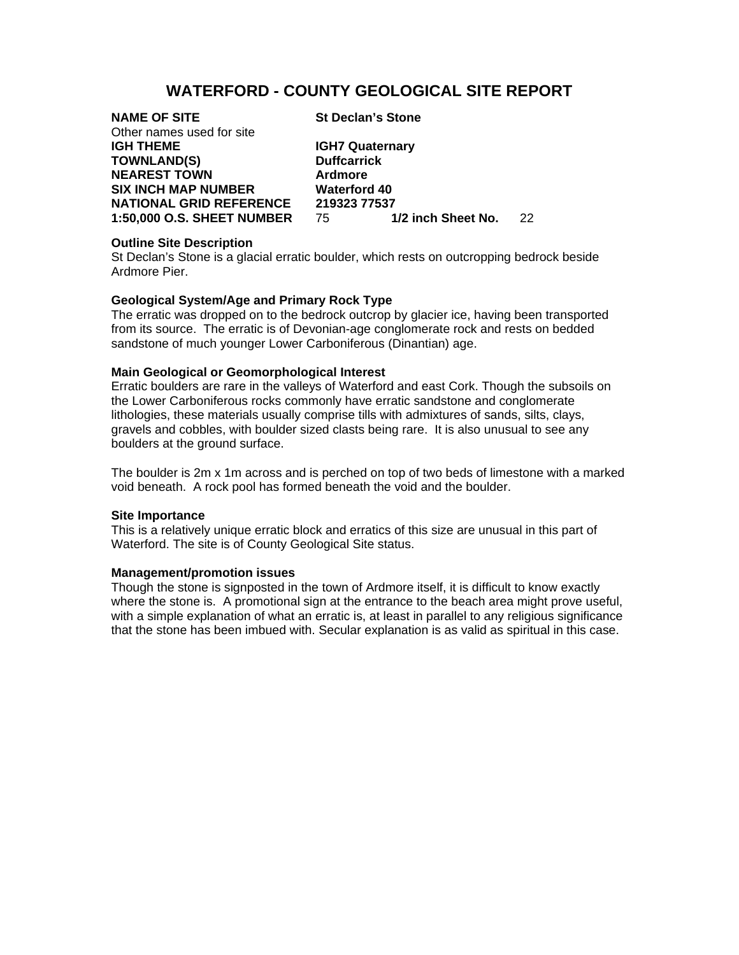# **WATERFORD - COUNTY GEOLOGICAL SITE REPORT**

| <b>NAME OF SITE</b>               | <b>St Declan's Stone</b> |     |
|-----------------------------------|--------------------------|-----|
| Other names used for site         |                          |     |
| <b>IGH THEME</b>                  | <b>IGH7 Quaternary</b>   |     |
| <b>TOWNLAND(S)</b>                | <b>Duffcarrick</b>       |     |
| <b>NEAREST TOWN</b>               | <b>Ardmore</b>           |     |
| <b>SIX INCH MAP NUMBER</b>        | <b>Waterford 40</b>      |     |
| <b>NATIONAL GRID REFERENCE</b>    | 219323 77537             |     |
| <b>1:50,000 O.S. SHEET NUMBER</b> | 1/2 inch Sheet No.<br>75 | 22. |
|                                   |                          |     |

### **Outline Site Description**

St Declan's Stone is a glacial erratic boulder, which rests on outcropping bedrock beside Ardmore Pier.

## **Geological System/Age and Primary Rock Type**

The erratic was dropped on to the bedrock outcrop by glacier ice, having been transported from its source. The erratic is of Devonian-age conglomerate rock and rests on bedded sandstone of much younger Lower Carboniferous (Dinantian) age.

### **Main Geological or Geomorphological Interest**

Erratic boulders are rare in the valleys of Waterford and east Cork. Though the subsoils on the Lower Carboniferous rocks commonly have erratic sandstone and conglomerate lithologies, these materials usually comprise tills with admixtures of sands, silts, clays, gravels and cobbles, with boulder sized clasts being rare. It is also unusual to see any boulders at the ground surface.

The boulder is 2m x 1m across and is perched on top of two beds of limestone with a marked void beneath. A rock pool has formed beneath the void and the boulder.

#### **Site Importance**

This is a relatively unique erratic block and erratics of this size are unusual in this part of Waterford. The site is of County Geological Site status.

#### **Management/promotion issues**

Though the stone is signposted in the town of Ardmore itself, it is difficult to know exactly where the stone is. A promotional sign at the entrance to the beach area might prove useful, with a simple explanation of what an erratic is, at least in parallel to any religious significance that the stone has been imbued with. Secular explanation is as valid as spiritual in this case.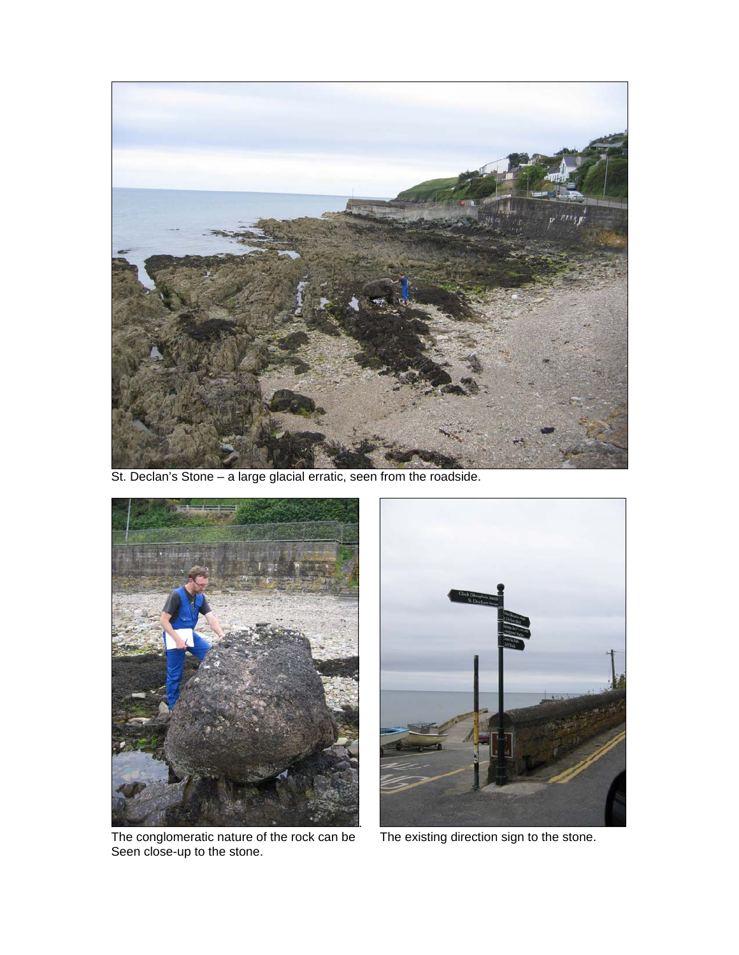

St. Declan's Stone – a large glacial erratic, seen from the roadside.



The conglomeratic nature of the rock can be The existing direction sign to the stone. Seen close-up to the stone.